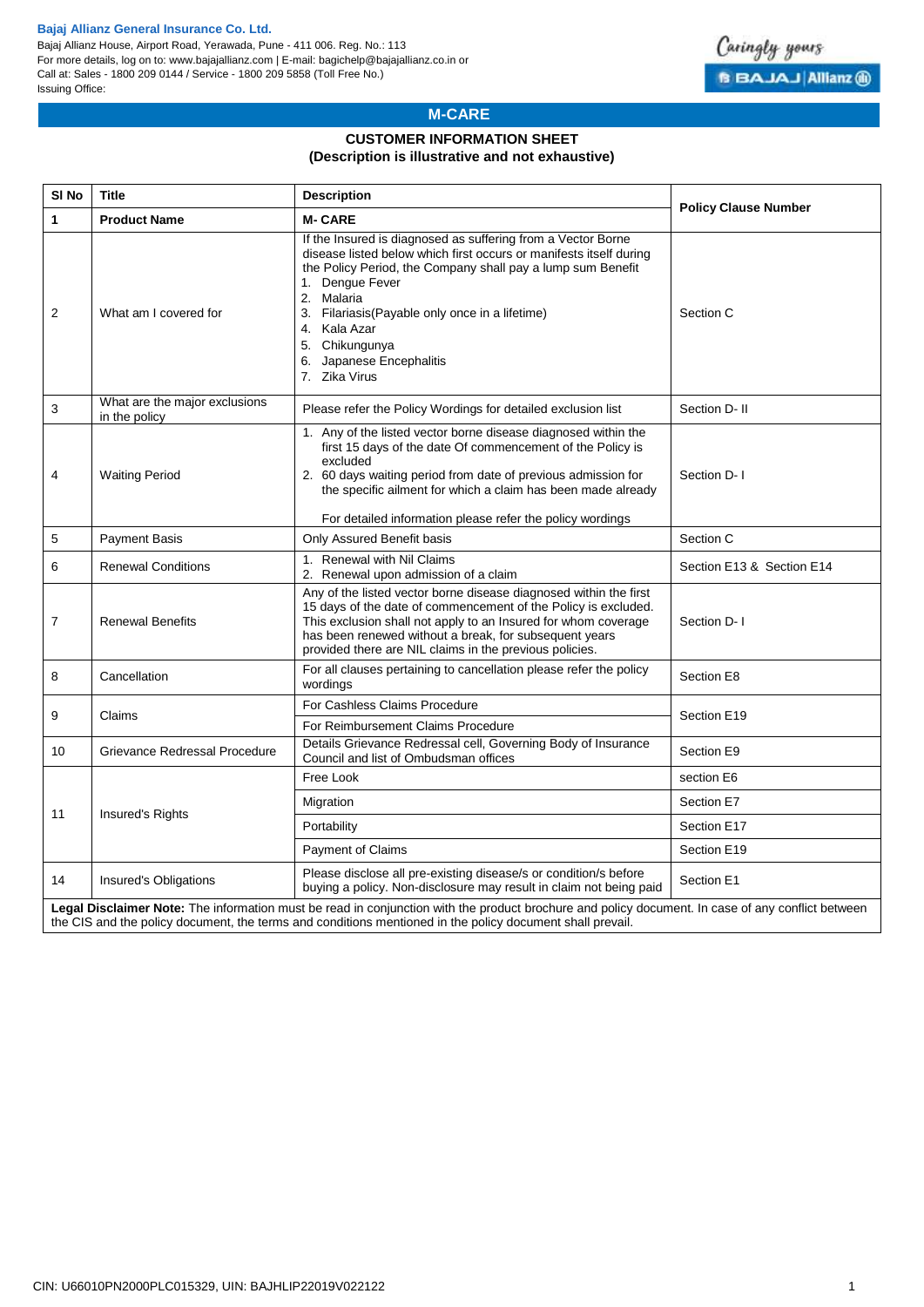#### **Bajaj Allianz General Insurance Co. Ltd.**

Bajaj Allianz House, Airport Road, Yerawada, Pune - 411 006. Reg. No.: 113 For more details, log on to: www.bajajallianz.com | E-mail: bagichelp@bajajallianz.co.in or Call at: Sales - 1800 209 0144 / Service - 1800 209 5858 (Toll Free No.) Issuing Office:



## **M-CARE**

# **CUSTOMER INFORMATION SHEET**

#### **(Description is illustrative and not exhaustive)**

| SI <sub>No</sub> | <b>Title</b>                                                                                                                                                                                                                                                   | <b>Description</b>                                                                                                                                                                                                                                                                                                                                                  | <b>Policy Clause Number</b> |  |  |  |  |  |  |  |  |
|------------------|----------------------------------------------------------------------------------------------------------------------------------------------------------------------------------------------------------------------------------------------------------------|---------------------------------------------------------------------------------------------------------------------------------------------------------------------------------------------------------------------------------------------------------------------------------------------------------------------------------------------------------------------|-----------------------------|--|--|--|--|--|--|--|--|
| $\mathbf{1}$     | <b>Product Name</b>                                                                                                                                                                                                                                            | <b>M-CARE</b>                                                                                                                                                                                                                                                                                                                                                       |                             |  |  |  |  |  |  |  |  |
| 2                | What am I covered for                                                                                                                                                                                                                                          | If the Insured is diagnosed as suffering from a Vector Borne<br>disease listed below which first occurs or manifests itself during<br>the Policy Period, the Company shall pay a lump sum Benefit<br>1. Dengue Fever<br>2. Malaria<br>3. Filariasis(Payable only once in a lifetime)<br>4. Kala Azar<br>5. Chikungunya<br>6. Japanese Encephalitis<br>7. Zika Virus | Section C                   |  |  |  |  |  |  |  |  |
| 3                | What are the major exclusions<br>in the policy                                                                                                                                                                                                                 | Please refer the Policy Wordings for detailed exclusion list                                                                                                                                                                                                                                                                                                        | Section D- II               |  |  |  |  |  |  |  |  |
| 4                | <b>Waiting Period</b>                                                                                                                                                                                                                                          | 1. Any of the listed vector borne disease diagnosed within the<br>first 15 days of the date Of commencement of the Policy is<br>excluded<br>2. 60 days waiting period from date of previous admission for<br>the specific ailment for which a claim has been made already<br>For detailed information please refer the policy wordings                              | Section D-1                 |  |  |  |  |  |  |  |  |
| 5                | Payment Basis                                                                                                                                                                                                                                                  | Only Assured Benefit basis                                                                                                                                                                                                                                                                                                                                          | Section C                   |  |  |  |  |  |  |  |  |
| 6                | <b>Renewal Conditions</b>                                                                                                                                                                                                                                      | 1. Renewal with Nil Claims<br>2. Renewal upon admission of a claim                                                                                                                                                                                                                                                                                                  | Section E13 & Section E14   |  |  |  |  |  |  |  |  |
| 7                | <b>Renewal Benefits</b>                                                                                                                                                                                                                                        | Any of the listed vector borne disease diagnosed within the first<br>15 days of the date of commencement of the Policy is excluded.<br>This exclusion shall not apply to an Insured for whom coverage<br>has been renewed without a break, for subsequent years<br>provided there are NIL claims in the previous policies.                                          | Section D-1                 |  |  |  |  |  |  |  |  |
| 8                | Cancellation                                                                                                                                                                                                                                                   | For all clauses pertaining to cancellation please refer the policy<br>wordings                                                                                                                                                                                                                                                                                      | Section E8                  |  |  |  |  |  |  |  |  |
| 9                | Claims                                                                                                                                                                                                                                                         | For Cashless Claims Procedure                                                                                                                                                                                                                                                                                                                                       | Section E19                 |  |  |  |  |  |  |  |  |
|                  |                                                                                                                                                                                                                                                                | For Reimbursement Claims Procedure                                                                                                                                                                                                                                                                                                                                  |                             |  |  |  |  |  |  |  |  |
| 10               | Grievance Redressal Procedure                                                                                                                                                                                                                                  | Details Grievance Redressal cell, Governing Body of Insurance<br>Council and list of Ombudsman offices                                                                                                                                                                                                                                                              | Section E9                  |  |  |  |  |  |  |  |  |
|                  | Insured's Rights                                                                                                                                                                                                                                               | Free Look                                                                                                                                                                                                                                                                                                                                                           | section E6                  |  |  |  |  |  |  |  |  |
| 11               |                                                                                                                                                                                                                                                                | Migration                                                                                                                                                                                                                                                                                                                                                           | Section E7                  |  |  |  |  |  |  |  |  |
|                  |                                                                                                                                                                                                                                                                | Portability                                                                                                                                                                                                                                                                                                                                                         | Section E17                 |  |  |  |  |  |  |  |  |
|                  |                                                                                                                                                                                                                                                                | <b>Payment of Claims</b>                                                                                                                                                                                                                                                                                                                                            | Section E19                 |  |  |  |  |  |  |  |  |
| 14               | Insured's Obligations                                                                                                                                                                                                                                          | Please disclose all pre-existing disease/s or condition/s before<br>buying a policy. Non-disclosure may result in claim not being paid                                                                                                                                                                                                                              | Section E1                  |  |  |  |  |  |  |  |  |
|                  | Legal Disclaimer Note: The information must be read in conjunction with the product brochure and policy document. In case of any conflict between<br>the CIS and the policy document, the terms and conditions mentioned in the policy document shall prevail. |                                                                                                                                                                                                                                                                                                                                                                     |                             |  |  |  |  |  |  |  |  |